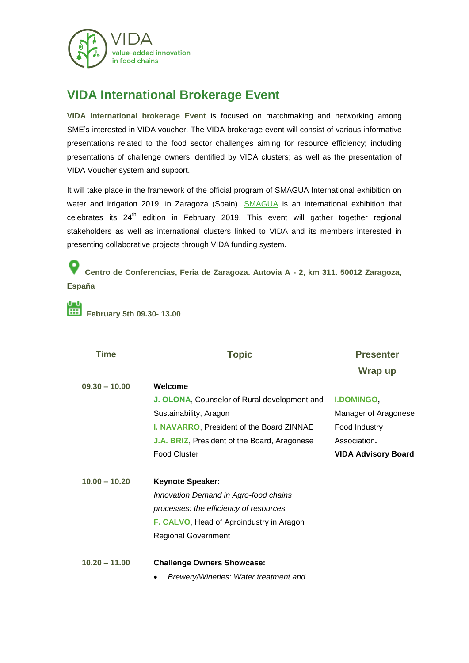

## **VIDA International Brokerage Event**

**VIDA International brokerage Event** is focused on matchmaking and networking among SME's interested in VIDA voucher. The VIDA brokerage event will consist of various informative presentations related to the food sector challenges aiming for resource efficiency; including presentations of challenge owners identified by VIDA clusters; as well as the presentation of VIDA Voucher system and support.

It will take place in the framework of the official program of SMAGUA International exhibition on water and irrigation 2019, in Zaragoza (Spain). [SMAGUA](http://www.feriazaragoza.com/smagua-2019) is an international exhibition that celebrates its 24<sup>th</sup> edition in February 2019. This event will gather together regional stakeholders as well as international clusters linked to VIDA and its members interested in presenting collaborative projects through VIDA funding system.

**Centro de Conferencias, Feria de Zaragoza. Autovia A - 2, km 311. 50012 Zaragoza, España**

**February 5th 09.30- 13.00**

| <b>Time</b>     | <b>Topic</b>                                 | <b>Presenter</b>           |
|-----------------|----------------------------------------------|----------------------------|
|                 |                                              | Wrap up                    |
| $09.30 - 10.00$ | Welcome                                      |                            |
|                 | J. OLONA, Counselor of Rural development and | <b>I.DOMINGO,</b>          |
|                 | Sustainability, Aragon                       | Manager of Aragonese       |
|                 | I. NAVARRO, President of the Board ZINNAE    | Food Industry              |
|                 | J.A. BRIZ, President of the Board, Aragonese | Association.               |
|                 | <b>Food Cluster</b>                          | <b>VIDA Advisory Board</b> |
| $10.00 - 10.20$ | <b>Keynote Speaker:</b>                      |                            |
|                 | Innovation Demand in Agro-food chains        |                            |
|                 | processes: the efficiency of resources       |                            |
|                 | F. CALVO, Head of Agroindustry in Aragon     |                            |
|                 | <b>Regional Government</b>                   |                            |
|                 |                                              |                            |
| $10.20 - 11.00$ | <b>Challenge Owners Showcase:</b>            |                            |
|                 | Brewery/Wineries: Water treatment and        |                            |